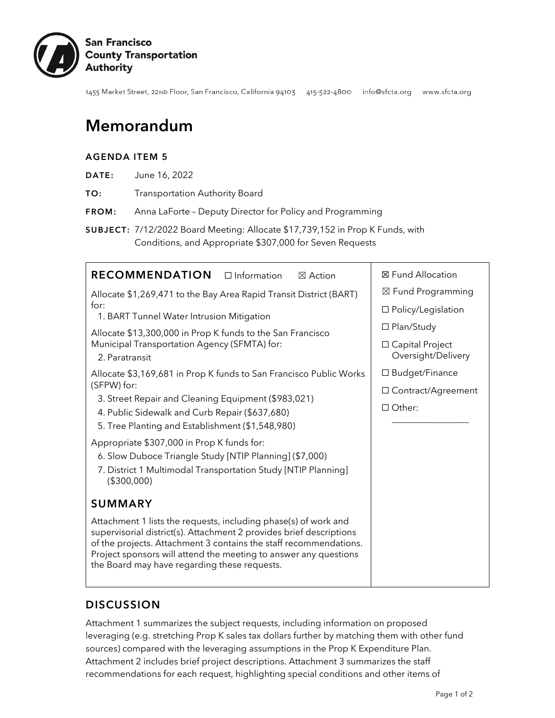

1455 Market Street, 22ND Floor, San Francisco, California 94103 415-522-4800 info@sfcta.org www.sfcta.org

# Memorandum

#### AGENDA ITEM 5

| June 16, 2022<br>DATE: |
|------------------------|
|------------------------|

TO: Transportation Authority Board

FROM: Anna LaForte – Deputy Director for Policy and Programming

SUBJECT: 7/12/2022 Board Meeting: Allocate \$17,739,152 in Prop K Funds, with Conditions, and Appropriate \$307,000 for Seven Requests

| <b>RECOMMENDATION</b><br>$\Box$ Information<br>$\boxtimes$ Action                                                                                                                                                                                                                                                               | ⊠ Fund Allocation                       |  |  |  |
|---------------------------------------------------------------------------------------------------------------------------------------------------------------------------------------------------------------------------------------------------------------------------------------------------------------------------------|-----------------------------------------|--|--|--|
| Allocate \$1,269,471 to the Bay Area Rapid Transit District (BART)                                                                                                                                                                                                                                                              | ⊠ Fund Programming                      |  |  |  |
| for:<br>1. BART Tunnel Water Intrusion Mitigation                                                                                                                                                                                                                                                                               | □ Policy/Legislation                    |  |  |  |
| Allocate \$13,300,000 in Prop K funds to the San Francisco                                                                                                                                                                                                                                                                      | □ Plan/Study                            |  |  |  |
| Municipal Transportation Agency (SFMTA) for:<br>2. Paratransit                                                                                                                                                                                                                                                                  | □ Capital Project<br>Oversight/Delivery |  |  |  |
| Allocate \$3,169,681 in Prop K funds to San Francisco Public Works                                                                                                                                                                                                                                                              | □ Budget/Finance                        |  |  |  |
| (SFPW) for:<br>3. Street Repair and Cleaning Equipment (\$983,021)                                                                                                                                                                                                                                                              | □ Contract/Agreement                    |  |  |  |
| 4. Public Sidewalk and Curb Repair (\$637,680)                                                                                                                                                                                                                                                                                  | $\Box$ Other:                           |  |  |  |
| 5. Tree Planting and Establishment (\$1,548,980)                                                                                                                                                                                                                                                                                |                                         |  |  |  |
| Appropriate \$307,000 in Prop K funds for:                                                                                                                                                                                                                                                                                      |                                         |  |  |  |
| 6. Slow Duboce Triangle Study [NTIP Planning] (\$7,000)                                                                                                                                                                                                                                                                         |                                         |  |  |  |
| 7. District 1 Multimodal Transportation Study [NTIP Planning]<br>(\$300,000)                                                                                                                                                                                                                                                    |                                         |  |  |  |
| <b>SUMMARY</b>                                                                                                                                                                                                                                                                                                                  |                                         |  |  |  |
| Attachment 1 lists the requests, including phase(s) of work and<br>supervisorial district(s). Attachment 2 provides brief descriptions<br>of the projects. Attachment 3 contains the staff recommendations.<br>Project sponsors will attend the meeting to answer any questions<br>the Board may have regarding these requests. |                                         |  |  |  |

### **DISCUSSION**

Attachment 1 summarizes the subject requests, including information on proposed leveraging (e.g. stretching Prop K sales tax dollars further by matching them with other fund sources) compared with the leveraging assumptions in the Prop K Expenditure Plan. Attachment 2 includes brief project descriptions. Attachment 3 summarizes the staff recommendations for each request, highlighting special conditions and other items of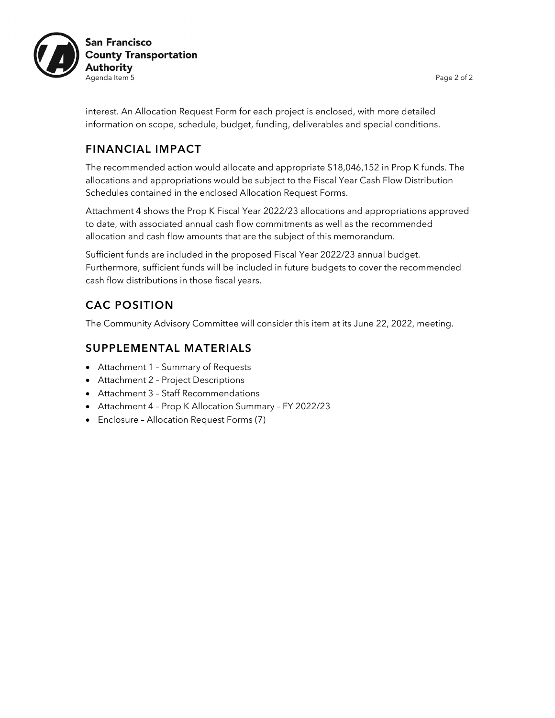

interest. An Allocation Request Form for each project is enclosed, with more detailed information on scope, schedule, budget, funding, deliverables and special conditions.

### FINANCIAL IMPACT

The recommended action would allocate and appropriate \$18,046,152 in Prop K funds. The allocations and appropriations would be subject to the Fiscal Year Cash Flow Distribution Schedules contained in the enclosed Allocation Request Forms.

Attachment 4 shows the Prop K Fiscal Year 2022/23 allocations and appropriations approved to date, with associated annual cash flow commitments as well as the recommended allocation and cash flow amounts that are the subject of this memorandum.

Sufficient funds are included in the proposed Fiscal Year 2022/23 annual budget. Furthermore, sufficient funds will be included in future budgets to cover the recommended cash flow distributions in those fiscal years.

## CAC POSITION

The Community Advisory Committee will consider this item at its June 22, 2022, meeting.

### SUPPLEMENTAL MATERIALS

- Attachment 1 Summary of Requests
- Attachment 2 Project Descriptions
- Attachment 3 Staff Recommendations
- Attachment 4 Prop K Allocation Summary FY 2022/23
- Enclosure Allocation Request Forms (7)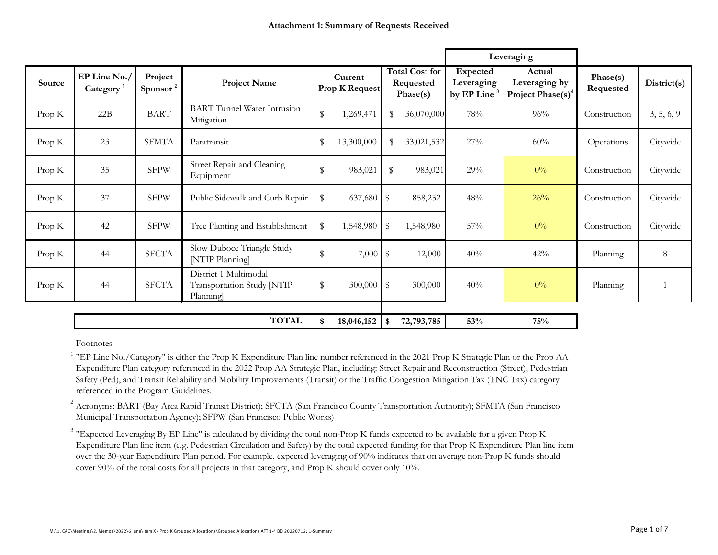|          |                          |                                 |                                                                  |                                  |                         |                                                |                                                   | Leveraging                                               |                       |             |
|----------|--------------------------|---------------------------------|------------------------------------------------------------------|----------------------------------|-------------------------|------------------------------------------------|---------------------------------------------------|----------------------------------------------------------|-----------------------|-------------|
| Source   | EP Line No./<br>Category | Project<br>Sponsor <sup>2</sup> | <b>Project Name</b>                                              | Current<br><b>Prop K Request</b> |                         | <b>Total Cost for</b><br>Requested<br>Phase(s) | Expected<br>Leveraging<br>by EP Line <sup>3</sup> | Actual<br>Leveraging by<br>Project Phase(s) <sup>4</sup> | Phase(s)<br>Requested | District(s) |
| Prop K   | 22B                      | <b>BART</b>                     | <b>BART</b> Tunnel Water Intrusion<br>Mitigation                 | \$<br>1,269,471                  | $\$\$                   | 36,070,000                                     | 78%                                               | 96%                                                      | Construction          | 3, 5, 6, 9  |
| Prop K   | 23                       | <b>SFMTA</b>                    | Paratransit                                                      | \$<br>13,300,000                 | \$                      | 33,021,532                                     | 27%                                               | 60%                                                      | Operations            | Citywide    |
| Prop K   | 35                       | <b>SFPW</b>                     | Street Repair and Cleaning<br>Equipment                          | \$<br>983,021                    | \$                      | 983,021                                        | 29%                                               | $0\%$                                                    | Construction          | Citywide    |
| Prop K   | 37                       | <b>SFPW</b>                     | Public Sidewalk and Curb Repair                                  | \$<br>637,680                    | \$                      | 858,252                                        | 48%                                               | 26%                                                      | Construction          | Citywide    |
| Prop $K$ | 42                       | <b>SFPW</b>                     | Tree Planting and Establishment                                  | \$<br>1,548,980                  | \$                      | 1,548,980                                      | 57%                                               | $0\%$                                                    | Construction          | Citywide    |
| Prop $K$ | 44                       | <b>SFCTA</b>                    | Slow Duboce Triangle Study<br>[NTIP Planning]                    | \$<br>7,000                      | $\$\$                   | 12,000                                         | 40%                                               | 42%                                                      | Planning              | 8           |
| Prop $K$ | 44                       | <b>SFCTA</b>                    | District 1 Multimodal<br>Transportation Study [NTIP<br>Planning] | \$<br>300,000                    | $\sqrt[6]{\frac{1}{2}}$ | 300,000                                        | 40%                                               | $0\%$                                                    | Planning              |             |
|          |                          |                                 |                                                                  |                                  |                         |                                                |                                                   |                                                          |                       |             |
|          |                          |                                 | <b>TOTAL</b>                                                     | \$<br>18,046,152                 | \$                      | 72,793,785                                     | 53%                                               | 75%                                                      |                       |             |

Footnotes

<sup>1</sup> "EP Line No./Category" is either the Prop K Expenditure Plan line number referenced in the 2021 Prop K Strategic Plan or the Prop AA Expenditure Plan category referenced in the 2022 Prop AA Strategic Plan, including: Street Repair and Reconstruction (Street), Pedestrian Safety (Ped), and Transit Reliability and Mobility Improvements (Transit) or the Traffic Congestion Mitigation Tax (TNC Tax) category referenced in the Program Guidelines.

<sup>2</sup> Acronyms: BART (Bay Area Rapid Transit District); SFCTA (San Francisco County Transportation Authority); SFMTA (San Francisco Municipal Transportation Agency); SFPW (San Francisco Public Works)

 $^3$  "Expected Leveraging By EP Line" is calculated by dividing the total non-Prop K funds expected to be available for a given Prop K Expenditure Plan line item (e.g. Pedestrian Circulation and Safety) by the total expected funding for that Prop K Expenditure Plan line item over the 30-year Expenditure Plan period. For example, expected leveraging of 90% indicates that on average non-Prop K funds should cover 90% of the total costs for all projects in that category, and Prop K should cover only 10%.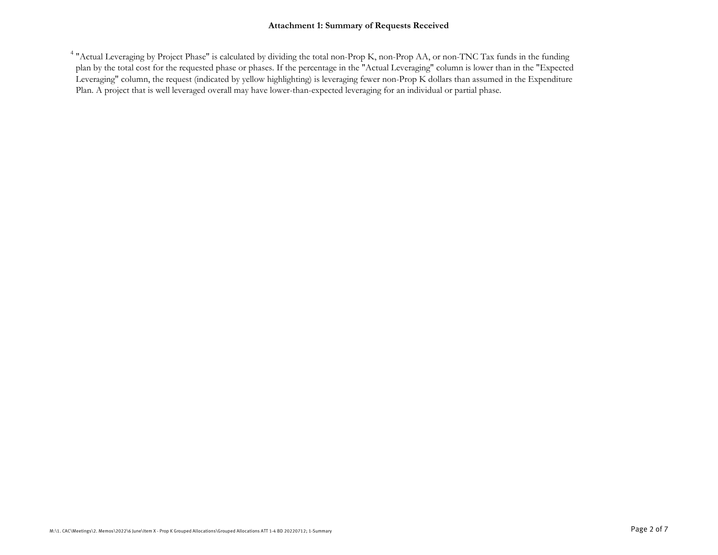#### **Attachment 1: Summary of Requests Received**

<sup>4</sup> "Actual Leveraging by Project Phase" is calculated by dividing the total non-Prop K, non-Prop AA, or non-TNC Tax funds in the funding plan by the total cost for the requested phase or phases. If the percentage in the "Actual Leveraging" column is lower than in the "Expected Leveraging" column, the request (indicated by yellow highlighting) is leveraging fewer non-Prop K dollars than assumed in the Expenditure Plan. A project that is well leveraged overall may have lower-than-expected leveraging for an individual or partial phase.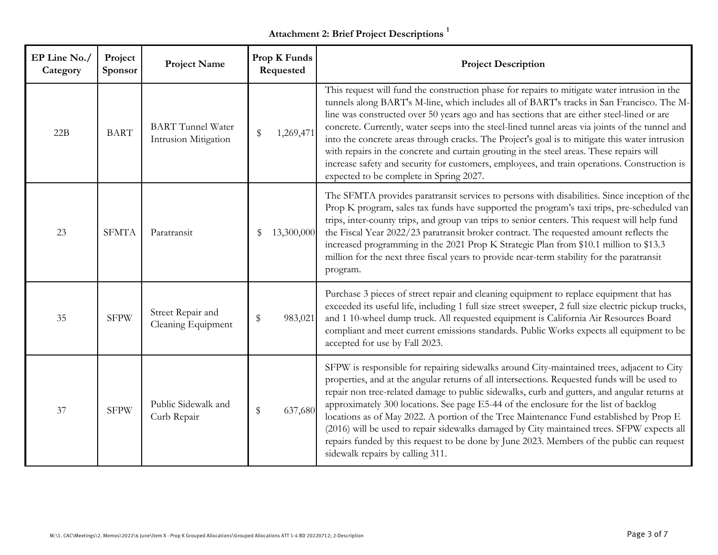# **Attachment 2: Brief Project Descriptions <sup>1</sup>**

| EP Line No./<br>Category | Project<br>Sponsor | <b>Project Name</b>                              | Prop K Funds<br>Requested | <b>Project Description</b>                                                                                                                                                                                                                                                                                                                                                                                                                                                                                                                                                                                                                                                                                                          |
|--------------------------|--------------------|--------------------------------------------------|---------------------------|-------------------------------------------------------------------------------------------------------------------------------------------------------------------------------------------------------------------------------------------------------------------------------------------------------------------------------------------------------------------------------------------------------------------------------------------------------------------------------------------------------------------------------------------------------------------------------------------------------------------------------------------------------------------------------------------------------------------------------------|
| 22B                      | <b>BART</b>        | <b>BART</b> Tunnel Water<br>Intrusion Mitigation | 1,269,471<br>\$           | This request will fund the construction phase for repairs to mitigate water intrusion in the<br>tunnels along BART's M-line, which includes all of BART's tracks in San Francisco. The M-<br>line was constructed over 50 years ago and has sections that are either steel-lined or are<br>concrete. Currently, water seeps into the steel-lined tunnel areas via joints of the tunnel and<br>into the concrete areas through cracks. The Project's goal is to mitigate this water intrusion<br>with repairs in the concrete and curtain grouting in the steel areas. These repairs will<br>increase safety and security for customers, employees, and train operations. Construction is<br>expected to be complete in Spring 2027. |
| 23                       | <b>SFMTA</b>       | Paratransit                                      | 13,300,000<br>S           | The SFMTA provides paratransit services to persons with disabilities. Since inception of the<br>Prop K program, sales tax funds have supported the program's taxi trips, pre-scheduled van<br>trips, inter-county trips, and group van trips to senior centers. This request will help fund<br>the Fiscal Year 2022/23 paratransit broker contract. The requested amount reflects the<br>increased programming in the 2021 Prop K Strategic Plan from \$10.1 million to \$13.3<br>million for the next three fiscal years to provide near-term stability for the paratransit<br>program.                                                                                                                                            |
| 35                       | <b>SFPW</b>        | Street Repair and<br>Cleaning Equipment          | \$<br>983,021             | Purchase 3 pieces of street repair and cleaning equipment to replace equipment that has<br>exceeded its useful life, including 1 full size street sweeper, 2 full size electric pickup trucks,<br>and 1 10-wheel dump truck. All requested equipment is California Air Resources Board<br>compliant and meet current emissions standards. Public Works expects all equipment to be<br>accepted for use by Fall 2023.                                                                                                                                                                                                                                                                                                                |
| 37                       | <b>SFPW</b>        | Public Sidewalk and<br>Curb Repair               | $\$\$<br>637,680          | SFPW is responsible for repairing sidewalks around City-maintained trees, adjacent to City<br>properties, and at the angular returns of all intersections. Requested funds will be used to<br>repair non tree-related damage to public sidewalks, curb and gutters, and angular returns at<br>approximately 300 locations. See page E5-44 of the enclosure for the list of backlog<br>locations as of May 2022. A portion of the Tree Maintenance Fund established by Prop E<br>(2016) will be used to repair sidewalks damaged by City maintained trees. SFPW expects all<br>repairs funded by this request to be done by June 2023. Members of the public can request<br>sidewalk repairs by calling 311.                         |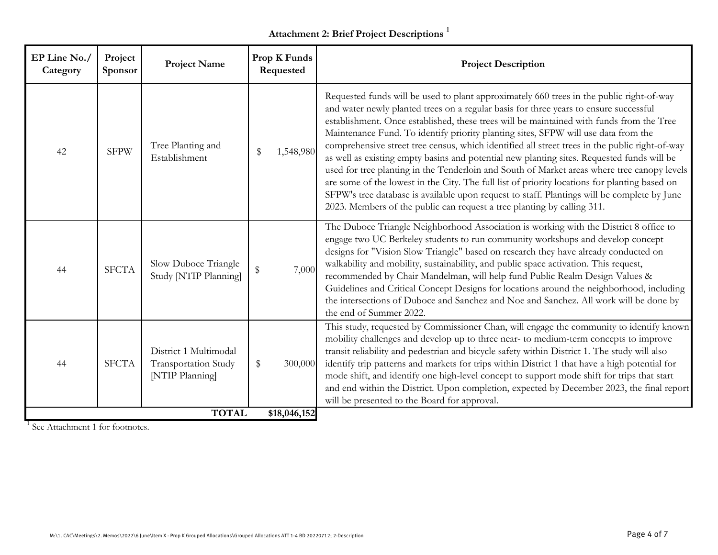# **Attachment 2: Brief Project Descriptions <sup>1</sup>**

| EP Line No./<br>Category | Project<br>Sponsor | <b>Project Name</b>                                              | Prop K Funds<br>Requested | <b>Project Description</b>                                                                                                                                                                                                                                                                                                                                                                                                                                                                                                                                                                                                                                                                                                                                                                                                                                                                                                                    |
|--------------------------|--------------------|------------------------------------------------------------------|---------------------------|-----------------------------------------------------------------------------------------------------------------------------------------------------------------------------------------------------------------------------------------------------------------------------------------------------------------------------------------------------------------------------------------------------------------------------------------------------------------------------------------------------------------------------------------------------------------------------------------------------------------------------------------------------------------------------------------------------------------------------------------------------------------------------------------------------------------------------------------------------------------------------------------------------------------------------------------------|
| 42                       | <b>SFPW</b>        | Tree Planting and<br>Establishment                               | \$<br>1,548,980           | Requested funds will be used to plant approximately 660 trees in the public right-of-way<br>and water newly planted trees on a regular basis for three years to ensure successful<br>establishment. Once established, these trees will be maintained with funds from the Tree<br>Maintenance Fund. To identify priority planting sites, SFPW will use data from the<br>comprehensive street tree census, which identified all street trees in the public right-of-way<br>as well as existing empty basins and potential new planting sites. Requested funds will be<br>used for tree planting in the Tenderloin and South of Market areas where tree canopy levels<br>are some of the lowest in the City. The full list of priority locations for planting based on<br>SFPW's tree database is available upon request to staff. Plantings will be complete by June<br>2023. Members of the public can request a tree planting by calling 311. |
| 44                       | <b>SFCTA</b>       | Slow Duboce Triangle<br>Study [NTIP Planning]                    | \$<br>7,000               | The Duboce Triangle Neighborhood Association is working with the District 8 office to<br>engage two UC Berkeley students to run community workshops and develop concept<br>designs for "Vision Slow Triangle" based on research they have already conducted on<br>walkability and mobility, sustainability, and public space activation. This request,<br>recommended by Chair Mandelman, will help fund Public Realm Design Values &<br>Guidelines and Critical Concept Designs for locations around the neighborhood, including<br>the intersections of Duboce and Sanchez and Noe and Sanchez. All work will be done by<br>the end of Summer 2022.                                                                                                                                                                                                                                                                                         |
| 44                       | <b>SFCTA</b>       | District 1 Multimodal<br>Transportation Study<br>[NTIP Planning] | \$<br>300,000             | This study, requested by Commissioner Chan, will engage the community to identify known<br>mobility challenges and develop up to three near- to medium-term concepts to improve<br>transit reliability and pedestrian and bicycle safety within District 1. The study will also<br>identify trip patterns and markets for trips within District 1 that have a high potential for<br>mode shift, and identify one high-level concept to support mode shift for trips that start<br>and end within the District. Upon completion, expected by December 2023, the final report<br>will be presented to the Board for approval.                                                                                                                                                                                                                                                                                                                   |
|                          |                    | <b>TOTAL</b>                                                     | \$18,046,152              |                                                                                                                                                                                                                                                                                                                                                                                                                                                                                                                                                                                                                                                                                                                                                                                                                                                                                                                                               |

<sup>1</sup> See Attachment 1 for footnotes.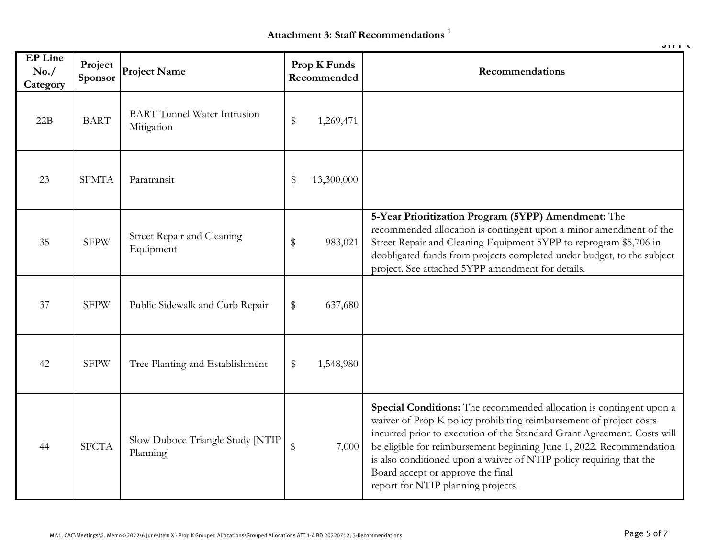**Attachment 3: Staff Recommendations 1**

|                                     |                    |                                                  |                                  | 91113                                                                                                                                                                                                                                                                                                                                                                                                                                          |
|-------------------------------------|--------------------|--------------------------------------------------|----------------------------------|------------------------------------------------------------------------------------------------------------------------------------------------------------------------------------------------------------------------------------------------------------------------------------------------------------------------------------------------------------------------------------------------------------------------------------------------|
| <b>EP</b> Line<br>No. /<br>Category | Project<br>Sponsor | <b>Project Name</b>                              | Prop K Funds<br>Recommended      | Recommendations                                                                                                                                                                                                                                                                                                                                                                                                                                |
| 22B                                 | <b>BART</b>        | <b>BART</b> Tunnel Water Intrusion<br>Mitigation | $\$\$<br>1,269,471               |                                                                                                                                                                                                                                                                                                                                                                                                                                                |
| 23                                  | <b>SFMTA</b>       | Paratransit                                      | 13,300,000<br>\$                 |                                                                                                                                                                                                                                                                                                                                                                                                                                                |
| 35                                  | <b>SFPW</b>        | Street Repair and Cleaning<br>Equipment          | $\$\$<br>983,021                 | 5-Year Prioritization Program (5YPP) Amendment: The<br>recommended allocation is contingent upon a minor amendment of the<br>Street Repair and Cleaning Equipment 5YPP to reprogram \$5,706 in<br>deobligated funds from projects completed under budget, to the subject<br>project. See attached 5YPP amendment for details.                                                                                                                  |
| 37                                  | <b>SFPW</b>        | Public Sidewalk and Curb Repair                  | \$<br>637,680                    |                                                                                                                                                                                                                                                                                                                                                                                                                                                |
| 42                                  | <b>SFPW</b>        | Tree Planting and Establishment                  | $\$\$<br>1,548,980               |                                                                                                                                                                                                                                                                                                                                                                                                                                                |
| 44                                  | <b>SFCTA</b>       | Slow Duboce Triangle Study [NTIP]<br>Planning    | $\sqrt[6]{\frac{1}{2}}$<br>7,000 | Special Conditions: The recommended allocation is contingent upon a<br>waiver of Prop K policy prohibiting reimbursement of project costs<br>incurred prior to execution of the Standard Grant Agreement. Costs will<br>be eligible for reimbursement beginning June 1, 2022. Recommendation<br>is also conditioned upon a waiver of NTIP policy requiring that the<br>Board accept or approve the final<br>report for NTIP planning projects. |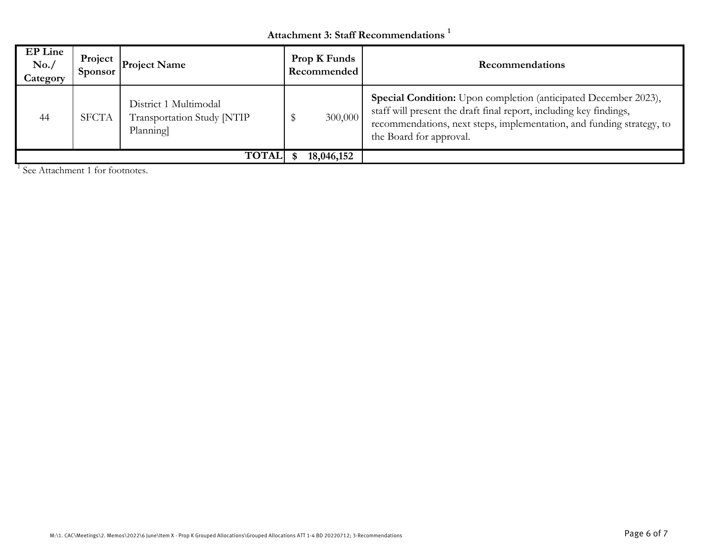## **Attachment 3: Staff Recommendations 1**

| <b>EP Line</b><br>No. /<br>Category | Project<br><b>Sponsor</b> | <b>Project Name</b>                                             | <b>Prop K Funds</b><br>Recommended | <b>Recommendations</b>                                                                                                                                                                                                                    |
|-------------------------------------|---------------------------|-----------------------------------------------------------------|------------------------------------|-------------------------------------------------------------------------------------------------------------------------------------------------------------------------------------------------------------------------------------------|
| 44                                  | <b>SFCTA</b>              | District 1 Multimodal<br>Transportation Study [NTIP<br>Planning | 300,000                            | Special Condition: Upon completion (anticipated December 2023),<br>staff will present the draft final report, including key findings,<br>recommendations, next steps, implementation, and funding strategy, to<br>the Board for approval. |
|                                     |                           | <b>TOTAL</b>                                                    | 18,046,152                         |                                                                                                                                                                                                                                           |

<sup>1</sup> See Attachment 1 for footnotes.